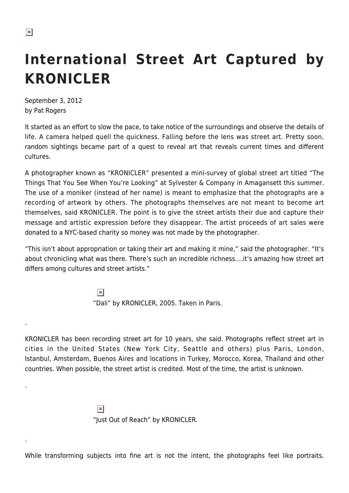.

.

.

## **International Street Art Captured by KRONICLER**

September 3, 2012 by Pat Rogers

It started as an effort to slow the pace, to take notice of the surroundings and observe the details of life. A camera helped quell the quickness. Falling before the lens was street art. Pretty soon, random sightings became part of a quest to reveal art that reveals current times and different cultures.

A photographer known as "KRONICLER" presented a mini-survey of global street art titled "The Things That You See When You're Looking" at Sylvester & Company in Amagansett this summer. The use of a moniker (instead of her name) is meant to emphasize that the photographs are a recording of artwork by others. The photographs themselves are not meant to become art themselves, said KRONICLER. The point is to give the street artists their due and capture their message and artistic expression before they disappear. The artist proceeds of art sales were donated to a NYC-based charity so money was not made by the photographer.

"This isn't about appropriation or taking their art and making it mine," said the photographer. "It's about chronicling what was there. There's such an incredible richness….it's amazing how street art differs among cultures and street artists."

> $\pmb{\times}$ "Dali" by KRONICLER, 2005. Taken in Paris.

KRONICLER has been recording street art for 10 years, she said. Photographs reflect street art in cities in the United States (New York City, Seattle and others) plus Paris, London, Istanbul, Amsterdam, Buenos Aires and locations in Turkey, Morocco, Korea, Thailand and other countries. When possible, the street artist is credited. Most of the time, the artist is unknown.

> $\pmb{\times}$ "Just Out of Reach" by KRONICLER.

While transforming subjects into fine art is not the intent, the photographs feel like portraits.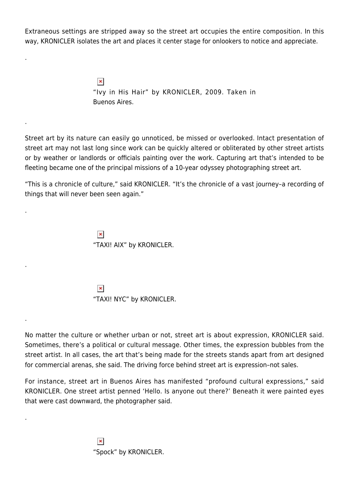Extraneous settings are stripped away so the street art occupies the entire composition. In this way, KRONICLER isolates the art and places it center stage for onlookers to notice and appreciate.

> $\pmb{\times}$ "Ivy in His Hair" by KRONICLER, 2009. Taken in Buenos Aires.

Street art by its nature can easily go unnoticed, be missed or overlooked. Intact presentation of street art may not last long since work can be quickly altered or obliterated by other street artists or by weather or landlords or officials painting over the work. Capturing art that's intended to be fleeting became one of the principal missions of a 10-year odyssey photographing street art.

"This is a chronicle of culture," said KRONICLER. "It's the chronicle of a vast journey–a recording of things that will never been seen again."

> $\pmb{\times}$ "TAXI! AIX" by KRONICLER.

.

.

.

.

.

.

 $\pmb{\times}$ "TAXI! NYC" by KRONICLER.

No matter the culture or whether urban or not, street art is about expression, KRONICLER said. Sometimes, there's a political or cultural message. Other times, the expression bubbles from the street artist. In all cases, the art that's being made for the streets stands apart from art designed for commercial arenas, she said. The driving force behind street art is expression–not sales.

For instance, street art in Buenos Aires has manifested "profound cultural expressions," said KRONICLER. One street artist penned 'Hello. Is anyone out there?' Beneath it were painted eyes that were cast downward, the photographer said.

> $\pmb{\times}$ "Spock" by KRONICLER.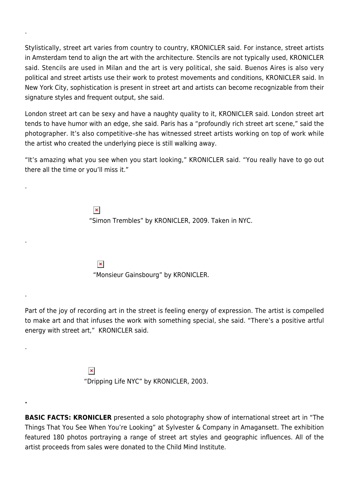Stylistically, street art varies from country to country, KRONICLER said. For instance, street artists in Amsterdam tend to align the art with the architecture. Stencils are not typically used, KRONICLER said. Stencils are used in Milan and the art is very political, she said. Buenos Aires is also very political and street artists use their work to protest movements and conditions, KRONICLER said. In New York City, sophistication is present in street art and artists can become recognizable from their signature styles and frequent output, she said.

.

.

.

.

.

**.**

London street art can be sexy and have a naughty quality to it, KRONICLER said. London street art tends to have humor with an edge, she said. Paris has a "profoundly rich street art scene," said the photographer. It's also competitive–she has witnessed street artists working on top of work while the artist who created the underlying piece is still walking away.

"It's amazing what you see when you start looking," KRONICLER said. "You really have to go out there all the time or you'll miss it."

> $\pmb{\times}$ "Simon Trembles" by KRONICLER, 2009. Taken in NYC.

 $\pmb{\times}$ "Monsieur Gainsbourg" by KRONICLER.

Part of the joy of recording art in the street is feeling energy of expression. The artist is compelled to make art and that infuses the work with something special, she said. "There's a positive artful energy with street art," KRONICLER said.

> $\pmb{\times}$ "Dripping Life NYC" by KRONICLER, 2003.

**BASIC FACTS: KRONICLER** presented a solo photography show of international street art in "The Things That You See When You're Looking" at Sylvester & Company in Amagansett. The exhibition featured 180 photos portraying a range of street art styles and geographic influences. All of the artist proceeds from sales were donated to the Child Mind Institute.